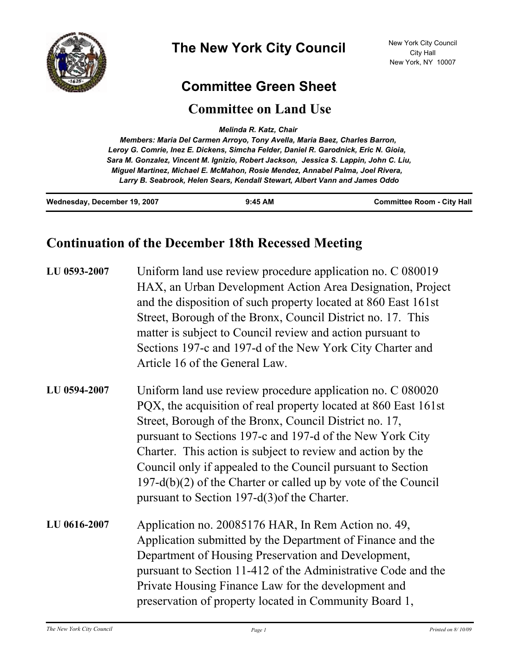

## **Committee Green Sheet**

## **Committee on Land Use**

*Melinda R. Katz, Chair* 

*Members: Maria Del Carmen Arroyo, Tony Avella, Maria Baez, Charles Barron, Leroy G. Comrie, Inez E. Dickens, Simcha Felder, Daniel R. Garodnick, Eric N. Gioia, Sara M. Gonzalez, Vincent M. Ignizio, Robert Jackson, Jessica S. Lappin, John C. Liu, Miguel Martinez, Michael E. McMahon, Rosie Mendez, Annabel Palma, Joel Rivera, Larry B. Seabrook, Helen Sears, Kendall Stewart, Albert Vann and James Oddo*

| Wednesday, December 19, 2007 | $9:45$ AM | <b>Committee Room - City Hall</b> |
|------------------------------|-----------|-----------------------------------|
|                              |           |                                   |

## **Continuation of the December 18th Recessed Meeting**

| LU 0593-2007 | Uniform land use review procedure application no. C 080019<br>HAX, an Urban Development Action Area Designation, Project<br>and the disposition of such property located at 860 East 161st<br>Street, Borough of the Bronx, Council District no. 17. This<br>matter is subject to Council review and action pursuant to<br>Sections 197-c and 197-d of the New York City Charter and<br>Article 16 of the General Law.                                                                                    |
|--------------|-----------------------------------------------------------------------------------------------------------------------------------------------------------------------------------------------------------------------------------------------------------------------------------------------------------------------------------------------------------------------------------------------------------------------------------------------------------------------------------------------------------|
| LU 0594-2007 | Uniform land use review procedure application no. C 080020<br>PQX, the acquisition of real property located at 860 East 161st<br>Street, Borough of the Bronx, Council District no. 17,<br>pursuant to Sections 197-c and 197-d of the New York City<br>Charter. This action is subject to review and action by the<br>Council only if appealed to the Council pursuant to Section<br>$197-d(b)(2)$ of the Charter or called up by vote of the Council<br>pursuant to Section 197-d $(3)$ of the Charter. |
| LU 0616-2007 | Application no. 20085176 HAR, In Rem Action no. 49,<br>Application submitted by the Department of Finance and the<br>Department of Housing Preservation and Development,<br>pursuant to Section 11-412 of the Administrative Code and the<br>Private Housing Finance Law for the development and<br>preservation of property located in Community Board 1,                                                                                                                                                |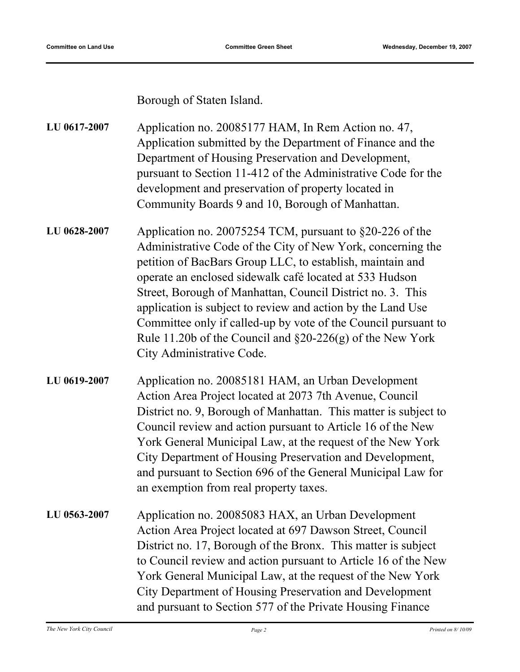Borough of Staten Island.

Application no. 20085177 HAM, In Rem Action no. 47, Application submitted by the Department of Finance and the Department of Housing Preservation and Development, pursuant to Section 11-412 of the Administrative Code for the development and preservation of property located in Community Boards 9 and 10, Borough of Manhattan. **LU 0617-2007**

- Application no. 20075254 TCM, pursuant to §20-226 of the Administrative Code of the City of New York, concerning the petition of BacBars Group LLC, to establish, maintain and operate an enclosed sidewalk café located at 533 Hudson Street, Borough of Manhattan, Council District no. 3. This application is subject to review and action by the Land Use Committee only if called-up by vote of the Council pursuant to Rule 11.20b of the Council and §20-226(g) of the New York City Administrative Code. **LU 0628-2007**
- Application no. 20085181 HAM, an Urban Development Action Area Project located at 2073 7th Avenue, Council District no. 9, Borough of Manhattan. This matter is subject to Council review and action pursuant to Article 16 of the New York General Municipal Law, at the request of the New York City Department of Housing Preservation and Development, and pursuant to Section 696 of the General Municipal Law for an exemption from real property taxes. **LU 0619-2007**
- Application no. 20085083 HAX, an Urban Development Action Area Project located at 697 Dawson Street, Council District no. 17, Borough of the Bronx. This matter is subject to Council review and action pursuant to Article 16 of the New York General Municipal Law, at the request of the New York City Department of Housing Preservation and Development and pursuant to Section 577 of the Private Housing Finance **LU 0563-2007**